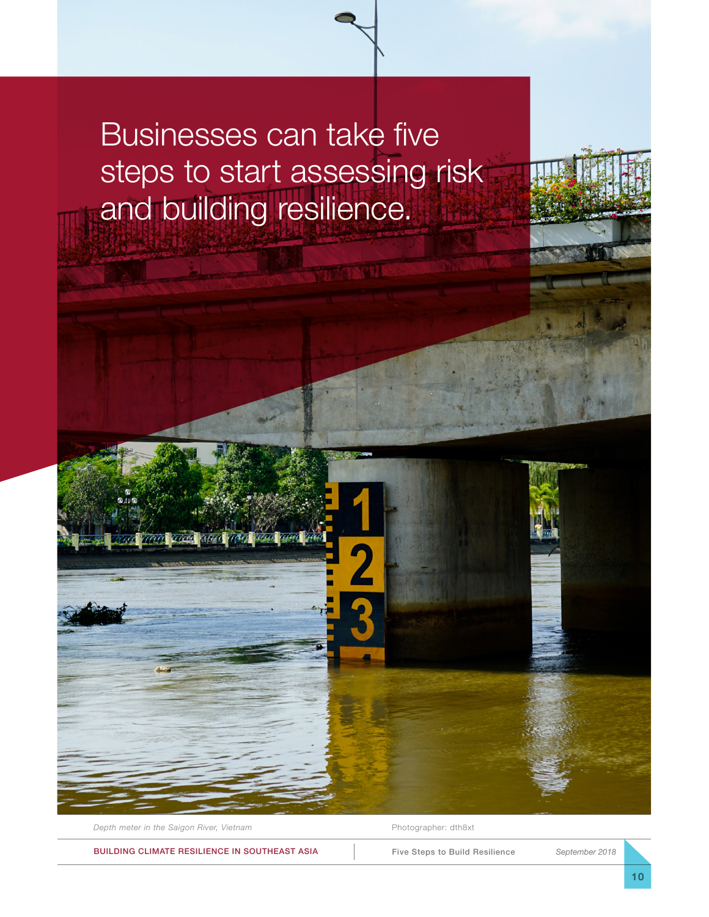## Businesses can take five steps to start assessing risk and building resilience.

*Depth meter in the Saigon River, Vietnam* Photographer: dth8xt

**Concord** 

BUILDING CLIMATE RESILIENCE IN SOUTHEAST ASIA

Five Steps to Build Resilience *September 2018*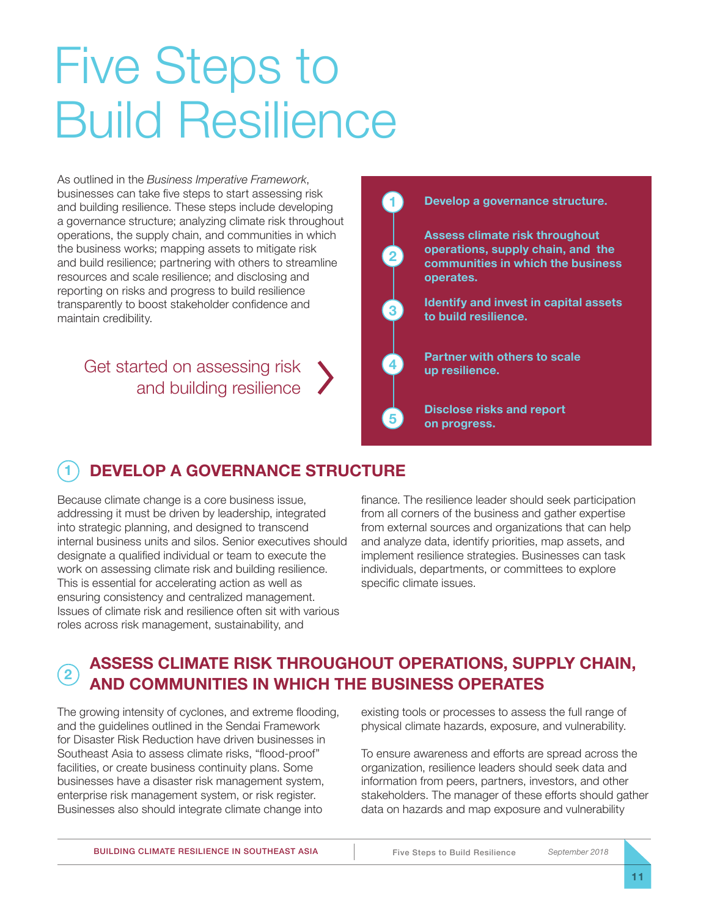# Five Steps to Build Resilience

As outlined in the *Business Imperative Framework*, businesses can take five steps to start assessing risk and building resilience. These steps include developing a governance structure; analyzing climate risk throughout operations, the supply chain, and communities in which the business works; mapping assets to mitigate risk and build resilience; partnering with others to streamline resources and scale resilience; and disclosing and reporting on risks and progress to build resilience transparently to boost stakeholder confidence and maintain credibility.

#### Get started on assessing risk and building resilience



**5**

#### **Develop a governance structure.**

**Assess climate risk throughout operations, supply chain, and the communities in which the business operates.**

**Identify and invest in capital assets to build resilience.**

**Partner with others to scale up resilience.**

**Disclose risks and report on progress.**

#### **1 DEVELOP A GOVERNANCE STRUCTURE**

Because climate change is a core business issue, addressing it must be driven by leadership, integrated into strategic planning, and designed to transcend internal business units and silos. Senior executives should designate a qualified individual or team to execute the work on assessing climate risk and building resilience. This is essential for accelerating action as well as ensuring consistency and centralized management. Issues of climate risk and resilience often sit with various roles across risk management, sustainability, and

finance. The resilience leader should seek participation from all corners of the business and gather expertise from external sources and organizations that can help and analyze data, identify priorities, map assets, and implement resilience strategies. Businesses can task individuals, departments, or committees to explore specific climate issues.

#### **2** ASSESS CLIMATE RISK THROUGHOUT OPERATIONS, SUPPLY CHAIN, **AND COMMUNITIES IN WHICH THE BUSINESS OPERATES**

The growing intensity of cyclones, and extreme flooding, and the guidelines outlined in the Sendai Framework for Disaster Risk Reduction have driven businesses in Southeast Asia to assess climate risks, "flood-proof" facilities, or create business continuity plans. Some businesses have a disaster risk management system, enterprise risk management system, or risk register. Businesses also should integrate climate change into

existing tools or processes to assess the full range of physical climate hazards, exposure, and vulnerability.

To ensure awareness and efforts are spread across the organization, resilience leaders should seek data and information from peers, partners, investors, and other stakeholders. The manager of these efforts should gather data on hazards and map exposure and vulnerability